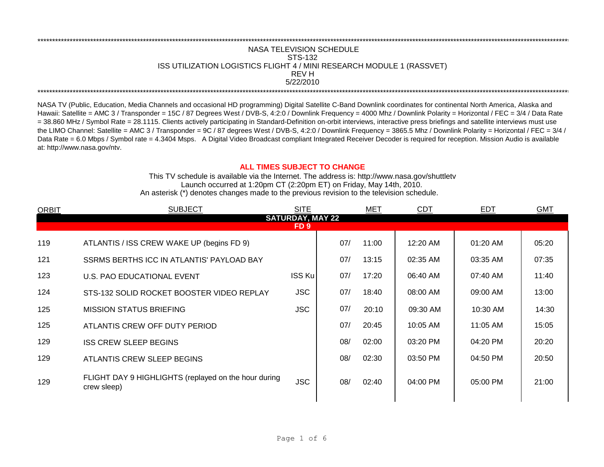## REV H \*\*\*\*\*\*\*\*\*\*\*\*\*\*\*\*\*\*\*\*\*\*\*\*\*\*\*\*\*\*\*\*\*\*\*\*\*\*\*\*\*\*\*\*\*\*\*\*\*\*\*\*\*\*\*\*\*\*\*\*\*\*\*\*\*\*\*\*\*\*\*\*\*\*\*\*\*\*\*\*\*\*\*\*\*\*\*\*\*\*\*\*\*\*\*\*\*\*\*\*\*\*\*\*\*\*\*\*\*\*\*\*\*\*\*\*\*\*\*\*\*\*\*\*\*\*\*\*\*\*\*\*\*\*\*\*\*\*\*\*\*\*\*\*\*\*\*\*\*\*\*\*\*\*\*\*\*\*\*\*\*\*\*\*\*\*\*\*\*\*\*\*\*\*\*\*\*\*\*\*\*\*\*\*\* NASA TELEVISION SCHEDULE STS-132 ISS UTILIZATION LOGISTICS FLIGHT 4 / MINI RESEARCH MODULE 1 (RASSVET) 5/22/2010 \*\*\*\*\*\*\*\*\*\*\*\*\*\*\*\*\*\*\*\*\*\*\*\*\*\*\*\*\*\*\*\*\*\*\*\*\*\*\*\*\*\*\*\*\*\*\*\*\*\*\*\*\*\*\*\*\*\*\*\*\*\*\*\*\*\*\*\*\*\*\*\*\*\*\*\*\*\*\*\*\*\*\*\*\*\*\*\*\*\*\*\*\*\*\*\*\*\*\*\*\*\*\*\*\*\*\*\*\*\*\*\*\*\*\*\*\*\*\*\*\*\*\*\*\*\*\*\*\*\*\*\*\*\*\*\*\*\*\*\*\*\*\*\*\*\*\*\*\*\*\*\*\*\*\*\*\*\*\*\*\*\*\*\*\*\*\*\*\*\*\*\*\*\*\*\*\*\*\*\*\*\*\*\*\*

NASA TV (Public, Education, Media Channels and occasional HD programming) Digital Satellite C-Band Downlink coordinates for continental North America, Alaska and Hawaii: Satellite = AMC 3 / Transponder = 15C / 87 Degrees West / DVB-S, 4:2:0 / Downlink Frequency = 4000 Mhz / Downlink Polarity = Horizontal / FEC = 3/4 / Data Rate = 38.860 MHz / Symbol Rate = 28.1115. Clients actively participating in Standard-Definition on-orbit interviews, interactive press briefings and satellite interviews must use the LIMO Channel: Satellite = AMC 3 / Transponder = 9C / 87 degrees West / DVB-S, 4:2:0 / Downlink Frequency = 3865.5 Mhz / Downlink Polarity = Horizontal / FEC = 3/4 / Data Rate = 6.0 Mbps / Symbol rate = 4.3404 Msps. A Digital Video Broadcast compliant Integrated Receiver Decoder is required for reception. Mission Audio is available at: http://www.nasa.gov/ntv.

## **ALL TIMES SUBJECT TO CHANGE**

Launch occurred at 1:20pm CT (2:20pm ET) on Friday, May 14th, 2010. An asterisk (\*) denotes changes made to the previous revision to the television schedule. This TV schedule is available via the Internet. The address is: http://www.nasa.gov/shuttletv

| <b>ORBIT</b>            | <b>SUBJECT</b>                                                      | <b>SITE</b>     |     | <b>MET</b> | <b>CDT</b> | <b>EDT</b> | <b>GMT</b> |  |  |
|-------------------------|---------------------------------------------------------------------|-----------------|-----|------------|------------|------------|------------|--|--|
| <b>SATURDAY, MAY 22</b> |                                                                     |                 |     |            |            |            |            |  |  |
|                         |                                                                     | FD <sub>9</sub> |     |            |            |            |            |  |  |
| 119                     | ATLANTIS / ISS CREW WAKE UP (begins FD 9)                           |                 | 07/ | 11:00      | 12:20 AM   | 01:20 AM   | 05:20      |  |  |
| 121                     | SSRMS BERTHS ICC IN ATLANTIS' PAYLOAD BAY                           |                 | 07/ | 13:15      | 02:35 AM   | 03:35 AM   | 07:35      |  |  |
| 123                     | U.S. PAO EDUCATIONAL EVENT                                          | <b>ISS Ku</b>   | 07/ | 17:20      | 06:40 AM   | 07:40 AM   | 11:40      |  |  |
| 124                     | STS-132 SOLID ROCKET BOOSTER VIDEO REPLAY                           | <b>JSC</b>      | 07/ | 18:40      | 08:00 AM   | 09:00 AM   | 13:00      |  |  |
| 125                     | <b>MISSION STATUS BRIEFING</b>                                      | <b>JSC</b>      | 07/ | 20:10      | 09:30 AM   | 10:30 AM   | 14:30      |  |  |
| 125                     | ATLANTIS CREW OFF DUTY PERIOD                                       |                 | 07/ | 20:45      | 10:05 AM   | 11:05 AM   | 15:05      |  |  |
| 129                     | <b>ISS CREW SLEEP BEGINS</b>                                        |                 | 08/ | 02:00      | 03:20 PM   | 04:20 PM   | 20:20      |  |  |
| 129                     | <b>ATLANTIS CREW SLEEP BEGINS</b>                                   |                 | 08/ | 02:30      | 03:50 PM   | 04:50 PM   | 20:50      |  |  |
| 129                     | FLIGHT DAY 9 HIGHLIGHTS (replayed on the hour during<br>crew sleep) | <b>JSC</b>      | 08/ | 02:40      | 04:00 PM   | 05:00 PM   | 21:00      |  |  |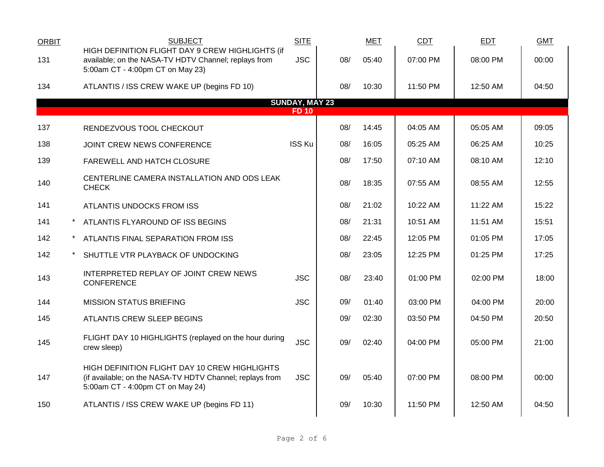| <b>ORBIT</b> | <b>SUBJECT</b>                                                                                                                                | <b>SITE</b>                           |     | <b>MET</b> | CDT      | <b>EDT</b> | <b>GMT</b> |
|--------------|-----------------------------------------------------------------------------------------------------------------------------------------------|---------------------------------------|-----|------------|----------|------------|------------|
| 131          | HIGH DEFINITION FLIGHT DAY 9 CREW HIGHLIGHTS (if<br>available; on the NASA-TV HDTV Channel; replays from<br>5:00am CT - 4:00pm CT on May 23)  | <b>JSC</b>                            | 08/ | 05:40      | 07:00 PM | 08:00 PM   | 00:00      |
| 134          | ATLANTIS / ISS CREW WAKE UP (begins FD 10)                                                                                                    |                                       | 08/ | 10:30      | 11:50 PM | 12:50 AM   | 04:50      |
|              |                                                                                                                                               | <b>SUNDAY, MAY 23</b><br><b>FD 10</b> |     |            |          |            |            |
| 137          | RENDEZVOUS TOOL CHECKOUT                                                                                                                      |                                       | 08/ | 14:45      | 04:05 AM | 05:05 AM   | 09:05      |
| 138          | JOINT CREW NEWS CONFERENCE                                                                                                                    | ISS Ku                                | 08/ | 16:05      | 05:25 AM | 06:25 AM   | 10:25      |
| 139          | FAREWELL AND HATCH CLOSURE                                                                                                                    |                                       | 08/ | 17:50      | 07:10 AM | 08:10 AM   | 12:10      |
| 140          | CENTERLINE CAMERA INSTALLATION AND ODS LEAK<br><b>CHECK</b>                                                                                   |                                       | 08/ | 18:35      | 07:55 AM | 08:55 AM   | 12:55      |
| 141          | ATLANTIS UNDOCKS FROM ISS                                                                                                                     |                                       | 08/ | 21:02      | 10:22 AM | 11:22 AM   | 15:22      |
| 141          | ATLANTIS FLYAROUND OF ISS BEGINS                                                                                                              |                                       | 08/ | 21:31      | 10:51 AM | 11:51 AM   | 15:51      |
| 142          | ATLANTIS FINAL SEPARATION FROM ISS                                                                                                            |                                       | 08/ | 22:45      | 12:05 PM | 01:05 PM   | 17:05      |
| 142          | SHUTTLE VTR PLAYBACK OF UNDOCKING                                                                                                             |                                       | 08/ | 23:05      | 12:25 PM | 01:25 PM   | 17:25      |
| 143          | INTERPRETED REPLAY OF JOINT CREW NEWS<br><b>CONFERENCE</b>                                                                                    | <b>JSC</b>                            | 08/ | 23:40      | 01:00 PM | 02:00 PM   | 18:00      |
| 144          | <b>MISSION STATUS BRIEFING</b>                                                                                                                | <b>JSC</b>                            | 09/ | 01:40      | 03:00 PM | 04:00 PM   | 20:00      |
| 145          | ATLANTIS CREW SLEEP BEGINS                                                                                                                    |                                       | 09/ | 02:30      | 03:50 PM | 04:50 PM   | 20:50      |
| 145          | FLIGHT DAY 10 HIGHLIGHTS (replayed on the hour during<br>crew sleep)                                                                          | <b>JSC</b>                            | 09/ | 02:40      | 04:00 PM | 05:00 PM   | 21:00      |
| 147          | HIGH DEFINITION FLIGHT DAY 10 CREW HIGHLIGHTS<br>(if available; on the NASA-TV HDTV Channel; replays from<br>5:00am CT - 4:00pm CT on May 24) | <b>JSC</b>                            | 09/ | 05:40      | 07:00 PM | 08:00 PM   | 00:00      |
| 150          | ATLANTIS / ISS CREW WAKE UP (begins FD 11)                                                                                                    |                                       | 09/ | 10:30      | 11:50 PM | 12:50 AM   | 04:50      |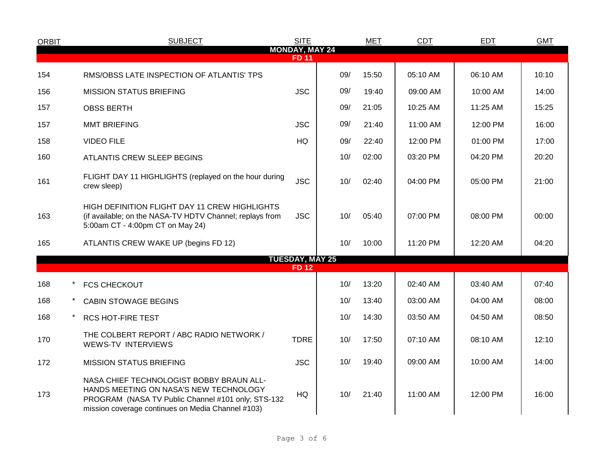| <b>ORBIT</b>                          | <b>SUBJECT</b>                                                                                                                                                                                | <b>SITE</b>  |     | <b>MET</b> | <b>CDT</b> | <b>EDT</b> | <b>GMT</b> |  |  |  |
|---------------------------------------|-----------------------------------------------------------------------------------------------------------------------------------------------------------------------------------------------|--------------|-----|------------|------------|------------|------------|--|--|--|
| <b>MONDAY, MAY 24</b><br><b>FD 11</b> |                                                                                                                                                                                               |              |     |            |            |            |            |  |  |  |
| 154                                   | RMS/OBSS LATE INSPECTION OF ATLANTIS' TPS                                                                                                                                                     |              | 09/ | 15:50      | 05:10 AM   | 06:10 AM   | 10:10      |  |  |  |
| 156                                   | <b>MISSION STATUS BRIEFING</b>                                                                                                                                                                | <b>JSC</b>   | 09/ | 19:40      | 09:00 AM   | 10:00 AM   | 14:00      |  |  |  |
| 157                                   | <b>OBSS BERTH</b>                                                                                                                                                                             |              | 09/ | 21:05      | 10:25 AM   | 11:25 AM   | 15:25      |  |  |  |
| 157                                   | <b>MMT BRIEFING</b>                                                                                                                                                                           | <b>JSC</b>   | 09/ | 21:40      | 11:00 AM   | 12:00 PM   | 16:00      |  |  |  |
| 158                                   | <b>VIDEO FILE</b>                                                                                                                                                                             | HQ           | 09/ | 22:40      | 12:00 PM   | 01:00 PM   | 17:00      |  |  |  |
| 160                                   | ATLANTIS CREW SLEEP BEGINS                                                                                                                                                                    |              | 10/ | 02:00      | 03:20 PM   | 04:20 PM   | 20:20      |  |  |  |
| 161                                   | FLIGHT DAY 11 HIGHLIGHTS (replayed on the hour during<br>crew sleep)                                                                                                                          | <b>JSC</b>   | 10/ | 02:40      | 04:00 PM   | 05:00 PM   | 21:00      |  |  |  |
| 163                                   | HIGH DEFINITION FLIGHT DAY 11 CREW HIGHLIGHTS<br>(if available; on the NASA-TV HDTV Channel; replays from<br>5:00am CT - 4:00pm CT on May 24)                                                 | <b>JSC</b>   | 10/ | 05:40      | 07:00 PM   | 08:00 PM   | 00:00      |  |  |  |
| 165                                   | ATLANTIS CREW WAKE UP (begins FD 12)                                                                                                                                                          |              | 10/ | 10:00      | 11:20 PM   | 12:20 AM   | 04:20      |  |  |  |
|                                       | <b>TUESDAY, MAY 25</b>                                                                                                                                                                        |              |     |            |            |            |            |  |  |  |
|                                       |                                                                                                                                                                                               | <b>FD 12</b> |     |            |            |            |            |  |  |  |
| 168                                   | <b>FCS CHECKOUT</b>                                                                                                                                                                           |              | 10/ | 13:20      | 02:40 AM   | 03:40 AM   | 07:40      |  |  |  |
| 168                                   | <b>CABIN STOWAGE BEGINS</b>                                                                                                                                                                   |              | 10/ | 13:40      | 03:00 AM   | 04:00 AM   | 08:00      |  |  |  |
| 168                                   | <b>RCS HOT-FIRE TEST</b>                                                                                                                                                                      |              | 10/ | 14:30      | 03:50 AM   | 04:50 AM   | 08:50      |  |  |  |
| 170                                   | THE COLBERT REPORT / ABC RADIO NETWORK /<br><b>WEWS-TV INTERVIEWS</b>                                                                                                                         | <b>TDRE</b>  | 10/ | 17:50      | 07:10 AM   | 08:10 AM   | 12:10      |  |  |  |
| 172                                   | <b>MISSION STATUS BRIEFING</b>                                                                                                                                                                | <b>JSC</b>   | 10/ | 19:40      | 09:00 AM   | 10:00 AM   | 14:00      |  |  |  |
| 173                                   | NASA CHIEF TECHNOLOGIST BOBBY BRAUN ALL-<br>HANDS MEETING ON NASA'S NEW TECHNOLOGY<br>PROGRAM (NASA TV Public Channel #101 only; STS-132<br>mission coverage continues on Media Channel #103) | HQ           | 10/ | 21:40      | 11:00 AM   | 12:00 PM   | 16:00      |  |  |  |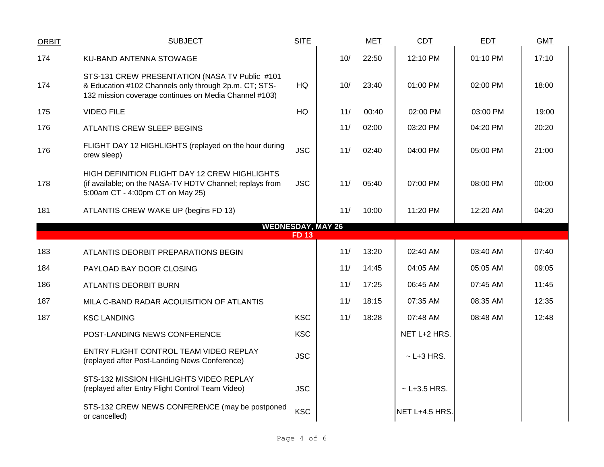| <b>ORBIT</b> | <b>SUBJECT</b>                                                                                                                                                   | <b>SITE</b> |                          | <b>MET</b> | CDT              | EDT      | <b>GMT</b> |
|--------------|------------------------------------------------------------------------------------------------------------------------------------------------------------------|-------------|--------------------------|------------|------------------|----------|------------|
| 174          | KU-BAND ANTENNA STOWAGE                                                                                                                                          |             | 10/                      | 22:50      | 12:10 PM         | 01:10 PM | 17:10      |
| 174          | STS-131 CREW PRESENTATION (NASA TV Public #101<br>& Education #102 Channels only through 2p.m. CT; STS-<br>132 mission coverage continues on Media Channel #103) | HQ          | 10/                      | 23:40      | 01:00 PM         | 02:00 PM | 18:00      |
| 175          | <b>VIDEO FILE</b>                                                                                                                                                | HQ          | 11/                      | 00:40      | 02:00 PM         | 03:00 PM | 19:00      |
| 176          | ATLANTIS CREW SLEEP BEGINS                                                                                                                                       |             | 11/                      | 02:00      | 03:20 PM         | 04:20 PM | 20:20      |
| 176          | FLIGHT DAY 12 HIGHLIGHTS (replayed on the hour during<br>crew sleep)                                                                                             | <b>JSC</b>  | 11/                      | 02:40      | 04:00 PM         | 05:00 PM | 21:00      |
| 178          | HIGH DEFINITION FLIGHT DAY 12 CREW HIGHLIGHTS<br>(if available; on the NASA-TV HDTV Channel; replays from<br>5:00am CT - 4:00pm CT on May 25)                    | <b>JSC</b>  | 11/                      | 05:40      | 07:00 PM         | 08:00 PM | 00:00      |
| 181          | ATLANTIS CREW WAKE UP (begins FD 13)                                                                                                                             |             | 11/                      | 10:00      | 11:20 PM         | 12:20 AM | 04:20      |
|              |                                                                                                                                                                  | <b>FD13</b> | <b>WEDNESDAY, MAY 26</b> |            |                  |          |            |
|              |                                                                                                                                                                  |             |                          |            |                  |          |            |
| 183          | ATLANTIS DEORBIT PREPARATIONS BEGIN                                                                                                                              |             | 11/                      | 13:20      | 02:40 AM         | 03:40 AM | 07:40      |
| 184          | PAYLOAD BAY DOOR CLOSING                                                                                                                                         |             | 11/                      | 14:45      | 04:05 AM         | 05:05 AM | 09:05      |
| 186          | ATLANTIS DEORBIT BURN                                                                                                                                            |             | 11/                      | 17:25      | 06:45 AM         | 07:45 AM | 11:45      |
| 187          | MILA C-BAND RADAR ACQUISITION OF ATLANTIS                                                                                                                        |             | 11/                      | 18:15      | 07:35 AM         | 08:35 AM | 12:35      |
| 187          | <b>KSC LANDING</b>                                                                                                                                               | <b>KSC</b>  | 11/                      | 18:28      | 07:48 AM         | 08:48 AM | 12:48      |
|              | POST-LANDING NEWS CONFERENCE                                                                                                                                     | <b>KSC</b>  |                          |            | NET L+2 HRS.     |          |            |
|              | ENTRY FLIGHT CONTROL TEAM VIDEO REPLAY<br>(replayed after Post-Landing News Conference)                                                                          | <b>JSC</b>  |                          |            | $\sim$ L+3 HRS.  |          |            |
|              | STS-132 MISSION HIGHLIGHTS VIDEO REPLAY<br>(replayed after Entry Flight Control Team Video)                                                                      | <b>JSC</b>  |                          |            | $~$ - L+3.5 HRS. |          |            |
|              | STS-132 CREW NEWS CONFERENCE (may be postponed<br>or cancelled)                                                                                                  | <b>KSC</b>  |                          |            | NET L+4.5 HRS.   |          |            |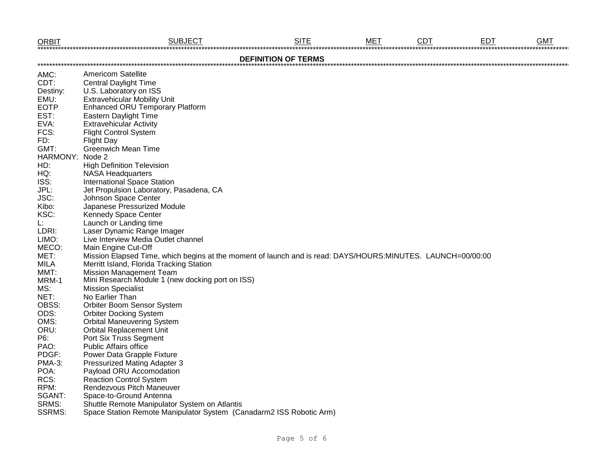| <b>ORBIT</b>    | <b>SUBJECT</b>                                                                                              | <b>SITE</b>                | <b>MET</b> | <b>CDT</b> | <b>EDT</b> | <b>GMT</b> |
|-----------------|-------------------------------------------------------------------------------------------------------------|----------------------------|------------|------------|------------|------------|
|                 |                                                                                                             | <b>DEFINITION OF TERMS</b> |            |            |            |            |
| AMC:            | <b>Americom Satellite</b>                                                                                   |                            |            |            |            |            |
| CDT:            | <b>Central Daylight Time</b>                                                                                |                            |            |            |            |            |
| Destiny:        | U.S. Laboratory on ISS                                                                                      |                            |            |            |            |            |
| EMU:            | <b>Extravehicular Mobility Unit</b>                                                                         |                            |            |            |            |            |
| <b>EOTP</b>     | <b>Enhanced ORU Temporary Platform</b>                                                                      |                            |            |            |            |            |
| EST:            | Eastern Daylight Time                                                                                       |                            |            |            |            |            |
| EVA:            | <b>Extravehicular Activity</b>                                                                              |                            |            |            |            |            |
| FCS:            | <b>Flight Control System</b>                                                                                |                            |            |            |            |            |
| FD:             | <b>Flight Day</b>                                                                                           |                            |            |            |            |            |
| GMT:            | <b>Greenwich Mean Time</b>                                                                                  |                            |            |            |            |            |
| HARMONY: Node 2 |                                                                                                             |                            |            |            |            |            |
| HD:             | <b>High Definition Television</b>                                                                           |                            |            |            |            |            |
| HQ:             | <b>NASA Headquarters</b>                                                                                    |                            |            |            |            |            |
| ISS:            | <b>International Space Station</b>                                                                          |                            |            |            |            |            |
| JPL:            | Jet Propulsion Laboratory, Pasadena, CA                                                                     |                            |            |            |            |            |
| JSC:            | Johnson Space Center                                                                                        |                            |            |            |            |            |
| Kibo:           | Japanese Pressurized Module                                                                                 |                            |            |            |            |            |
| KSC:            | Kennedy Space Center                                                                                        |                            |            |            |            |            |
| L:              | Launch or Landing time                                                                                      |                            |            |            |            |            |
| LDRI:           | Laser Dynamic Range Imager                                                                                  |                            |            |            |            |            |
| LIMO:           | Live Interview Media Outlet channel                                                                         |                            |            |            |            |            |
| MECO:           | Main Engine Cut-Off                                                                                         |                            |            |            |            |            |
| MET:            | Mission Elapsed Time, which begins at the moment of launch and is read: DAYS/HOURS:MINUTES. LAUNCH=00/00:00 |                            |            |            |            |            |
| <b>MILA</b>     | Merritt Island, Florida Tracking Station                                                                    |                            |            |            |            |            |
| MMT:            | <b>Mission Management Team</b>                                                                              |                            |            |            |            |            |
| MRM-1           | Mini Research Module 1 (new docking port on ISS)                                                            |                            |            |            |            |            |
| MS:             | <b>Mission Specialist</b>                                                                                   |                            |            |            |            |            |
| NET:            | No Earlier Than                                                                                             |                            |            |            |            |            |
| OBSS:           | Orbiter Boom Sensor System                                                                                  |                            |            |            |            |            |
| ODS:            | <b>Orbiter Docking System</b>                                                                               |                            |            |            |            |            |
| OMS:            | <b>Orbital Maneuvering System</b>                                                                           |                            |            |            |            |            |
| ORU:            | <b>Orbital Replacement Unit</b>                                                                             |                            |            |            |            |            |
| P6:             | Port Six Truss Segment                                                                                      |                            |            |            |            |            |
| PAO:            | <b>Public Affairs office</b>                                                                                |                            |            |            |            |            |
| PDGF:           | Power Data Grapple Fixture                                                                                  |                            |            |            |            |            |
| <b>PMA-3:</b>   | Pressurized Mating Adapter 3                                                                                |                            |            |            |            |            |
| POA:            | Payload ORU Accomodation                                                                                    |                            |            |            |            |            |
| RCS:            | <b>Reaction Control System</b>                                                                              |                            |            |            |            |            |
| RPM:            | Rendezvous Pitch Maneuver                                                                                   |                            |            |            |            |            |
| SGANT:          | Space-to-Ground Antenna                                                                                     |                            |            |            |            |            |
| SRMS:           | Shuttle Remote Manipulator System on Atlantis                                                               |                            |            |            |            |            |
| <b>SSRMS:</b>   | Space Station Remote Manipulator System (Canadarm2 ISS Robotic Arm)                                         |                            |            |            |            |            |